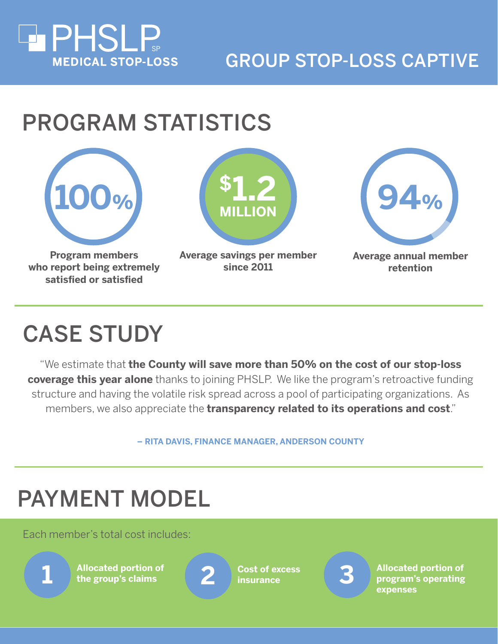

#### GROUP STOP-LOSS CAPTIVE

# PROGRAM STATISTICS



## CASE STUDY

"We estimate that **the County will save more than 50% on the cost of our stop-loss coverage this year alone** thanks to joining PHSLP. We like the program's retroactive funding structure and having the volatile risk spread across a pool of participating organizations. As members, we also appreciate the **transparency related to its operations and cost**."

**– RITA DAVIS, FINANCE MANAGER, ANDERSON COUNTY**

## PAYMENT MODEL

Each member's total cost includes:



**Allocated portion of 1 the group's claims**

**Cost of excess 2 insurance**

**3**

**Allocated portion of program's operating expenses**